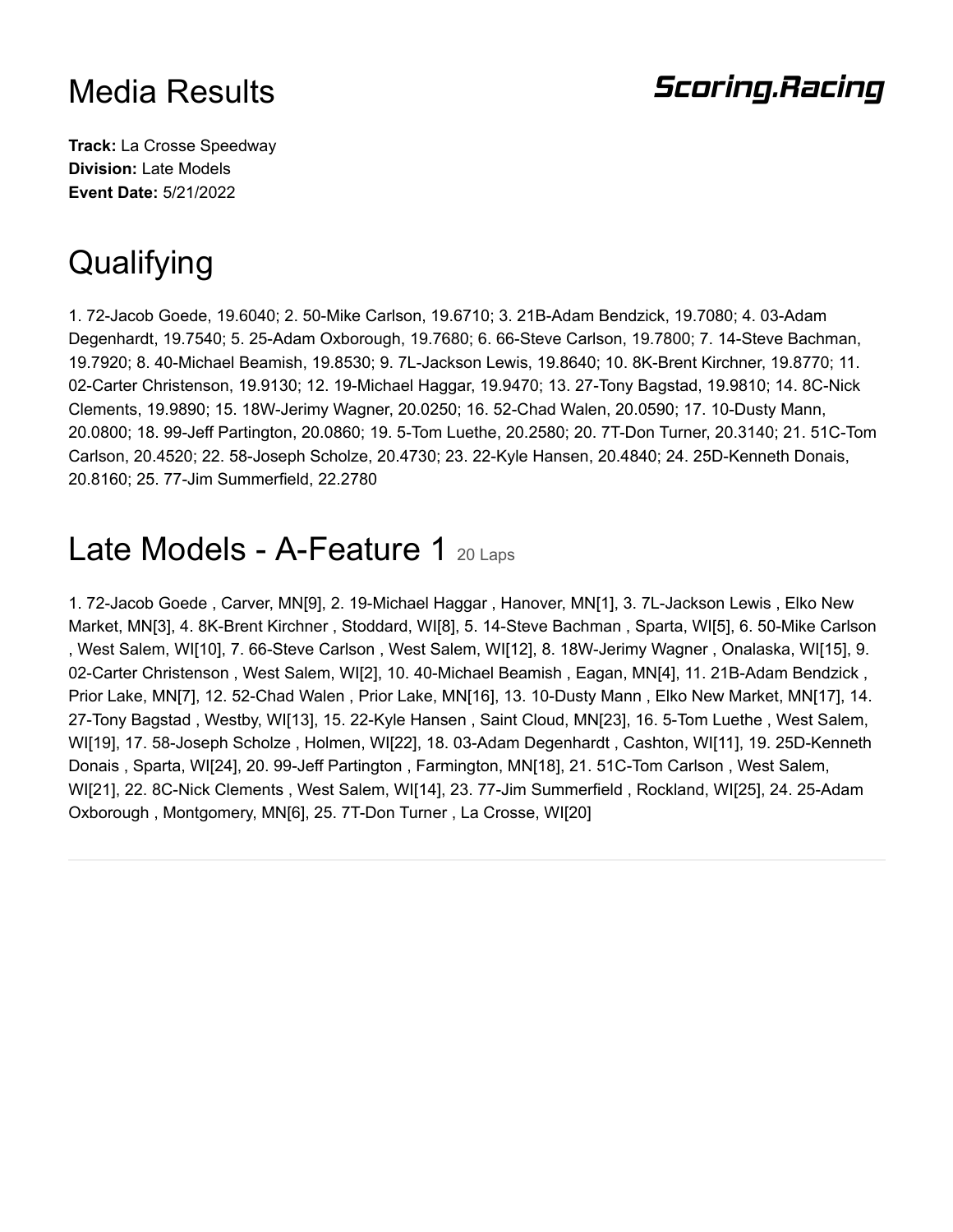#### **Scoring.Racing**

**Track:** La Crosse Speedway **Division:** Late Models **Event Date:** 5/21/2022

# **Qualifying**

1. 72-Jacob Goede, 19.6040; 2. 50-Mike Carlson, 19.6710; 3. 21B-Adam Bendzick, 19.7080; 4. 03-Adam Degenhardt, 19.7540; 5. 25-Adam Oxborough, 19.7680; 6. 66-Steve Carlson, 19.7800; 7. 14-Steve Bachman, 19.7920; 8. 40-Michael Beamish, 19.8530; 9. 7L-Jackson Lewis, 19.8640; 10. 8K-Brent Kirchner, 19.8770; 11. 02-Carter Christenson, 19.9130; 12. 19-Michael Haggar, 19.9470; 13. 27-Tony Bagstad, 19.9810; 14. 8C-Nick Clements, 19.9890; 15. 18W-Jerimy Wagner, 20.0250; 16. 52-Chad Walen, 20.0590; 17. 10-Dusty Mann, 20.0800; 18. 99-Jeff Partington, 20.0860; 19. 5-Tom Luethe, 20.2580; 20. 7T-Don Turner, 20.3140; 21. 51C-Tom Carlson, 20.4520; 22. 58-Joseph Scholze, 20.4730; 23. 22-Kyle Hansen, 20.4840; 24. 25D-Kenneth Donais, 20.8160; 25. 77-Jim Summerfield, 22.2780

### Late Models - A-Feature 1 20 Laps

1. 72-Jacob Goede , Carver, MN[9], 2. 19-Michael Haggar , Hanover, MN[1], 3. 7L-Jackson Lewis , Elko New Market, MN[3], 4. 8K-Brent Kirchner , Stoddard, WI[8], 5. 14-Steve Bachman , Sparta, WI[5], 6. 50-Mike Carlson , West Salem, WI[10], 7. 66-Steve Carlson , West Salem, WI[12], 8. 18W-Jerimy Wagner , Onalaska, WI[15], 9. 02-Carter Christenson , West Salem, WI[2], 10. 40-Michael Beamish , Eagan, MN[4], 11. 21B-Adam Bendzick , Prior Lake, MN[7], 12. 52-Chad Walen , Prior Lake, MN[16], 13. 10-Dusty Mann , Elko New Market, MN[17], 14. 27-Tony Bagstad , Westby, WI[13], 15. 22-Kyle Hansen , Saint Cloud, MN[23], 16. 5-Tom Luethe , West Salem, WI[19], 17. 58-Joseph Scholze , Holmen, WI[22], 18. 03-Adam Degenhardt , Cashton, WI[11], 19. 25D-Kenneth Donais , Sparta, WI[24], 20. 99-Jeff Partington , Farmington, MN[18], 21. 51C-Tom Carlson , West Salem, WI[21], 22. 8C-Nick Clements , West Salem, WI[14], 23. 77-Jim Summerfield , Rockland, WI[25], 24. 25-Adam Oxborough , Montgomery, MN[6], 25. 7T-Don Turner , La Crosse, WI[20]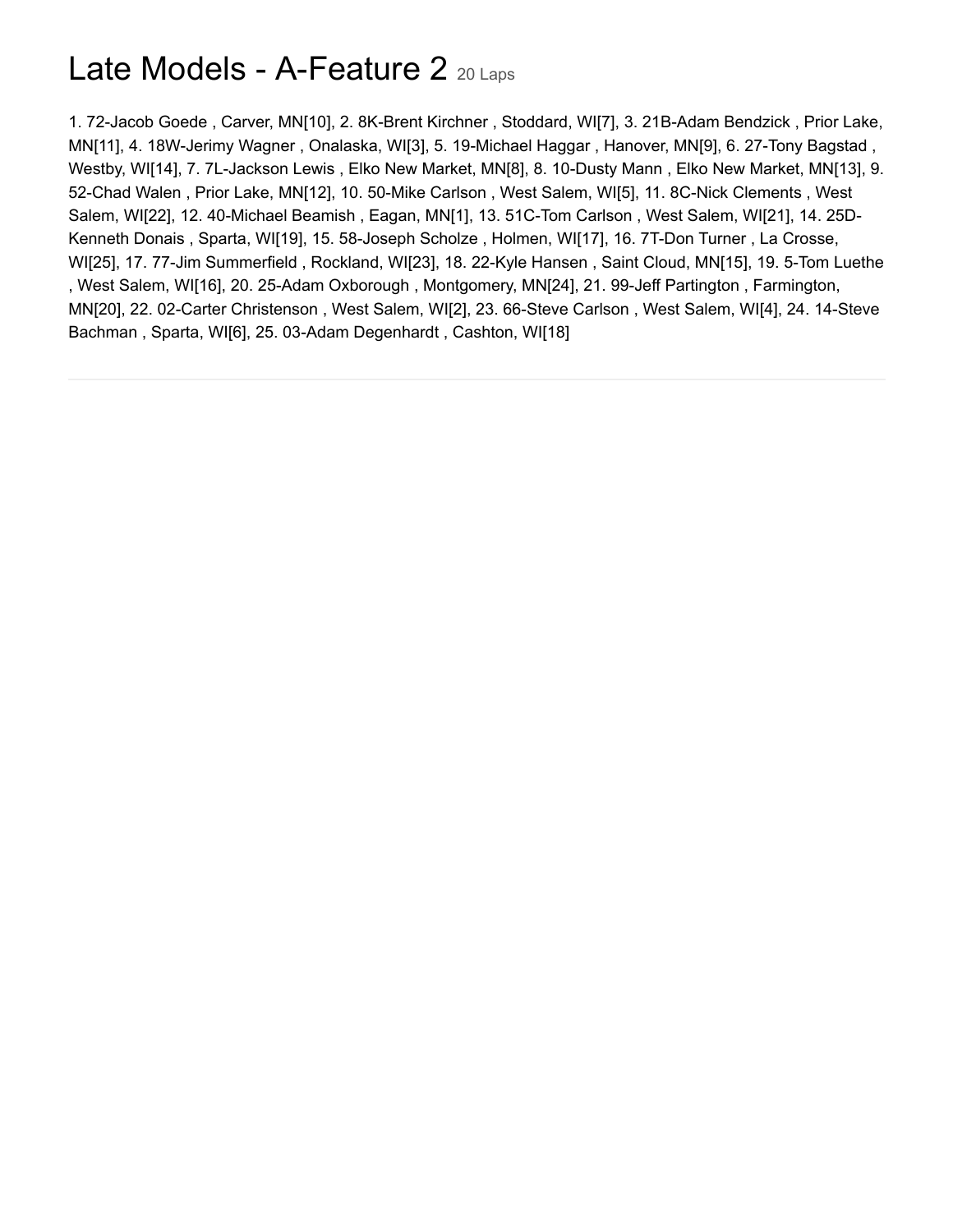## Late Models - A-Feature 2 20 Laps

1. 72-Jacob Goede , Carver, MN[10], 2. 8K-Brent Kirchner , Stoddard, WI[7], 3. 21B-Adam Bendzick , Prior Lake, MN[11], 4. 18W-Jerimy Wagner , Onalaska, WI[3], 5. 19-Michael Haggar , Hanover, MN[9], 6. 27-Tony Bagstad , Westby, WI[14], 7. 7L-Jackson Lewis , Elko New Market, MN[8], 8. 10-Dusty Mann , Elko New Market, MN[13], 9. 52-Chad Walen , Prior Lake, MN[12], 10. 50-Mike Carlson , West Salem, WI[5], 11. 8C-Nick Clements , West Salem, WI[22], 12. 40-Michael Beamish , Eagan, MN[1], 13. 51C-Tom Carlson , West Salem, WI[21], 14. 25D-Kenneth Donais , Sparta, WI[19], 15. 58-Joseph Scholze , Holmen, WI[17], 16. 7T-Don Turner , La Crosse, WI[25], 17. 77-Jim Summerfield , Rockland, WI[23], 18. 22-Kyle Hansen , Saint Cloud, MN[15], 19. 5-Tom Luethe , West Salem, WI[16], 20. 25-Adam Oxborough , Montgomery, MN[24], 21. 99-Jeff Partington , Farmington, MN[20], 22. 02-Carter Christenson , West Salem, WI[2], 23. 66-Steve Carlson , West Salem, WI[4], 24. 14-Steve Bachman , Sparta, WI[6], 25. 03-Adam Degenhardt , Cashton, WI[18]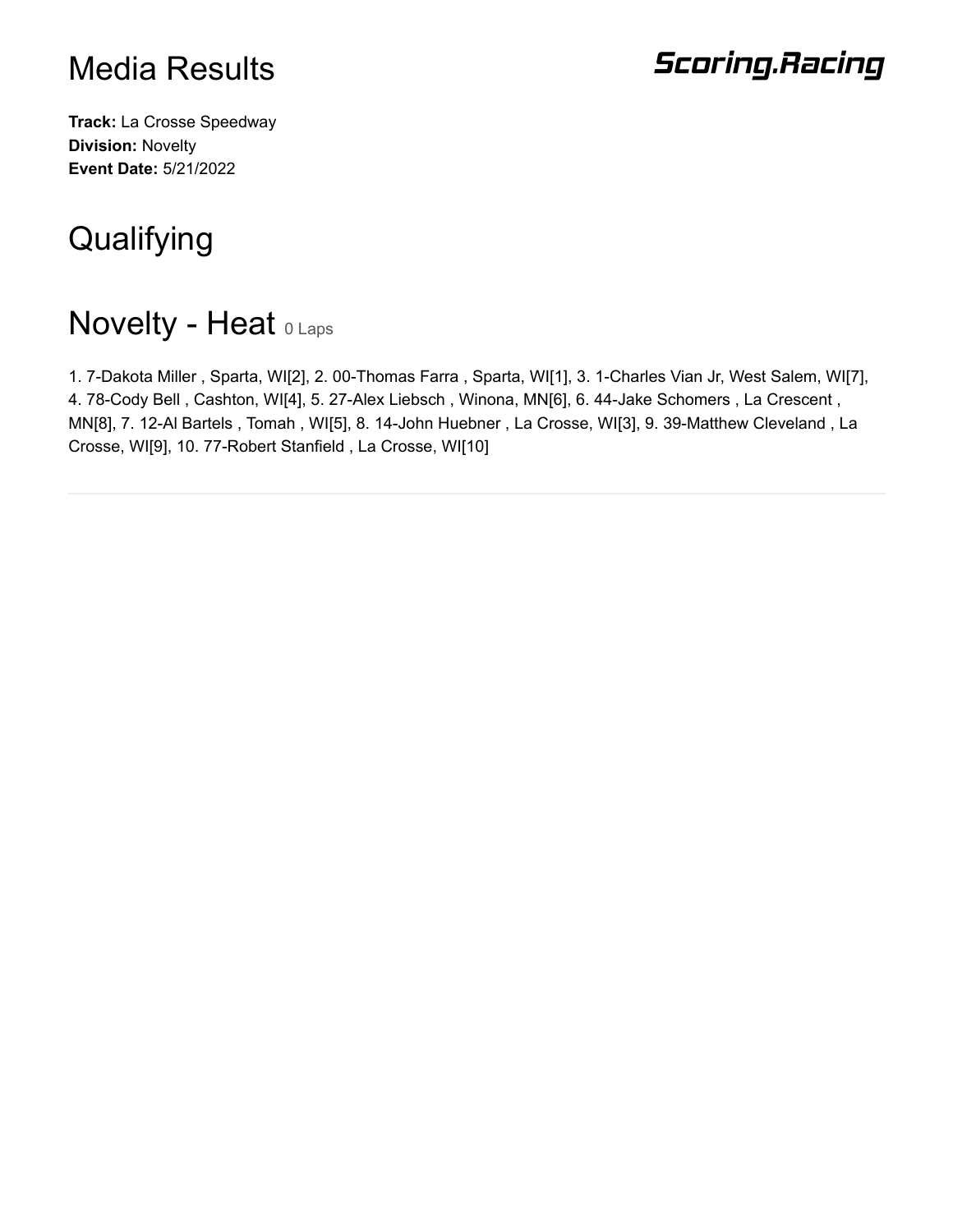## **Scoring.Racing**

**Track:** La Crosse Speedway **Division:** Novelty **Event Date:** 5/21/2022

# **Qualifying**

## **Novelty - Heat O Laps**

1. 7-Dakota Miller , Sparta, WI[2], 2. 00-Thomas Farra , Sparta, WI[1], 3. 1-Charles Vian Jr, West Salem, WI[7], 4. 78-Cody Bell , Cashton, WI[4], 5. 27-Alex Liebsch , Winona, MN[6], 6. 44-Jake Schomers , La Crescent , MN[8], 7. 12-Al Bartels , Tomah , WI[5], 8. 14-John Huebner , La Crosse, WI[3], 9. 39-Matthew Cleveland , La Crosse, WI[9], 10. 77-Robert Stanfield , La Crosse, WI[10]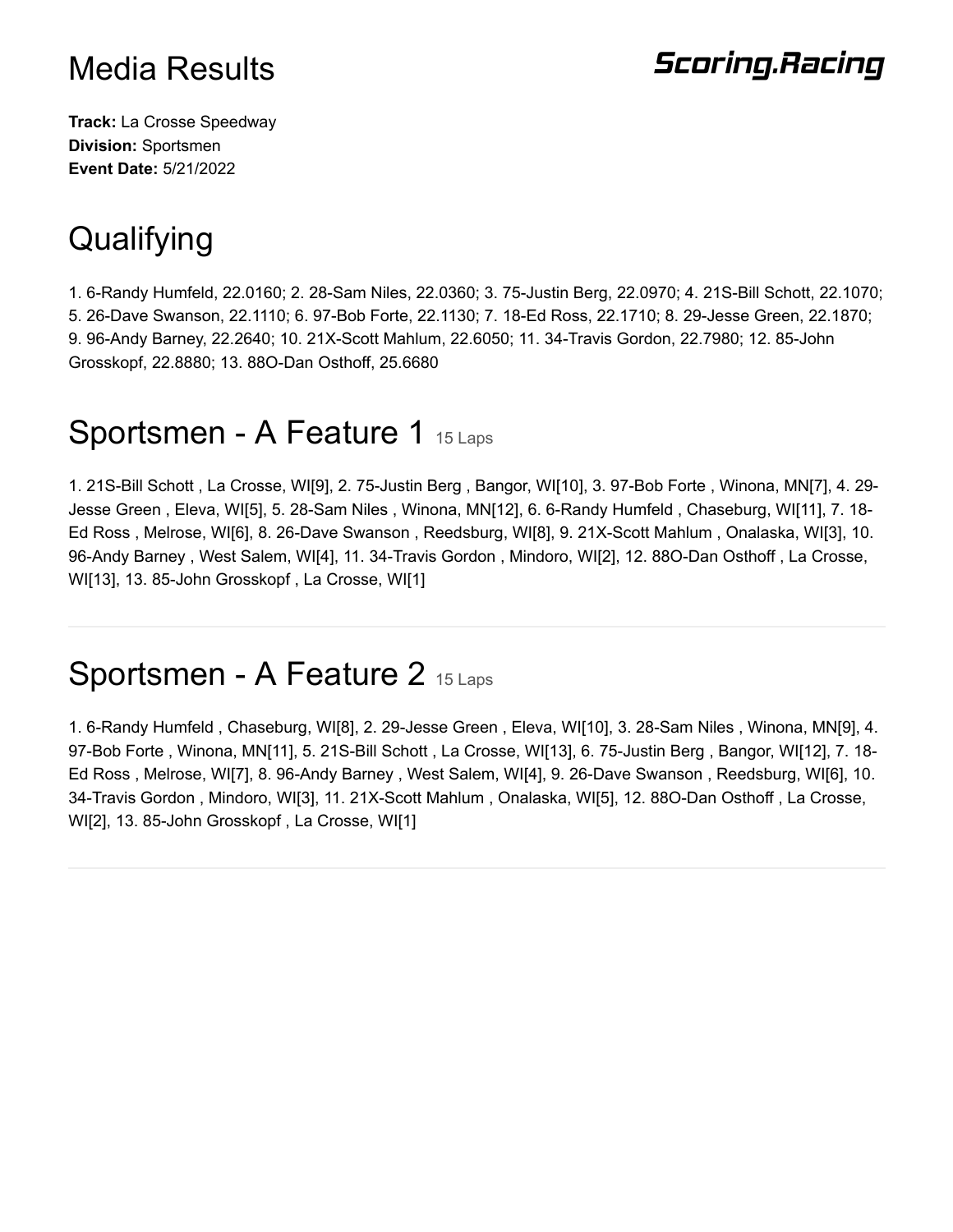### **Scoring.Racing**

**Track:** La Crosse Speedway **Division:** Sportsmen **Event Date:** 5/21/2022

## **Qualifying**

1. 6-Randy Humfeld, 22.0160; 2. 28-Sam Niles, 22.0360; 3. 75-Justin Berg, 22.0970; 4. 21S-Bill Schott, 22.1070; 5. 26-Dave Swanson, 22.1110; 6. 97-Bob Forte, 22.1130; 7. 18-Ed Ross, 22.1710; 8. 29-Jesse Green, 22.1870; 9. 96-Andy Barney, 22.2640; 10. 21X-Scott Mahlum, 22.6050; 11. 34-Travis Gordon, 22.7980; 12. 85-John Grosskopf, 22.8880; 13. 88O-Dan Osthoff, 25.6680

### Sportsmen - A Feature 1 15 Laps

1. 21S-Bill Schott , La Crosse, WI[9], 2. 75-Justin Berg , Bangor, WI[10], 3. 97-Bob Forte , Winona, MN[7], 4. 29- Jesse Green , Eleva, WI[5], 5. 28-Sam Niles , Winona, MN[12], 6. 6-Randy Humfeld , Chaseburg, WI[11], 7. 18- Ed Ross , Melrose, WI[6], 8. 26-Dave Swanson , Reedsburg, WI[8], 9. 21X-Scott Mahlum , Onalaska, WI[3], 10. 96-Andy Barney , West Salem, WI[4], 11. 34-Travis Gordon , Mindoro, WI[2], 12. 88O-Dan Osthoff , La Crosse, WI[13], 13. 85-John Grosskopf , La Crosse, WI[1]

#### Sportsmen - A Feature 2 15 Laps

1. 6-Randy Humfeld , Chaseburg, WI[8], 2. 29-Jesse Green , Eleva, WI[10], 3. 28-Sam Niles , Winona, MN[9], 4. 97-Bob Forte , Winona, MN[11], 5. 21S-Bill Schott , La Crosse, WI[13], 6. 75-Justin Berg , Bangor, WI[12], 7. 18- Ed Ross , Melrose, WI[7], 8. 96-Andy Barney , West Salem, WI[4], 9. 26-Dave Swanson , Reedsburg, WI[6], 10. 34-Travis Gordon , Mindoro, WI[3], 11. 21X-Scott Mahlum , Onalaska, WI[5], 12. 88O-Dan Osthoff , La Crosse, WI[2], 13. 85-John Grosskopf , La Crosse, WI[1]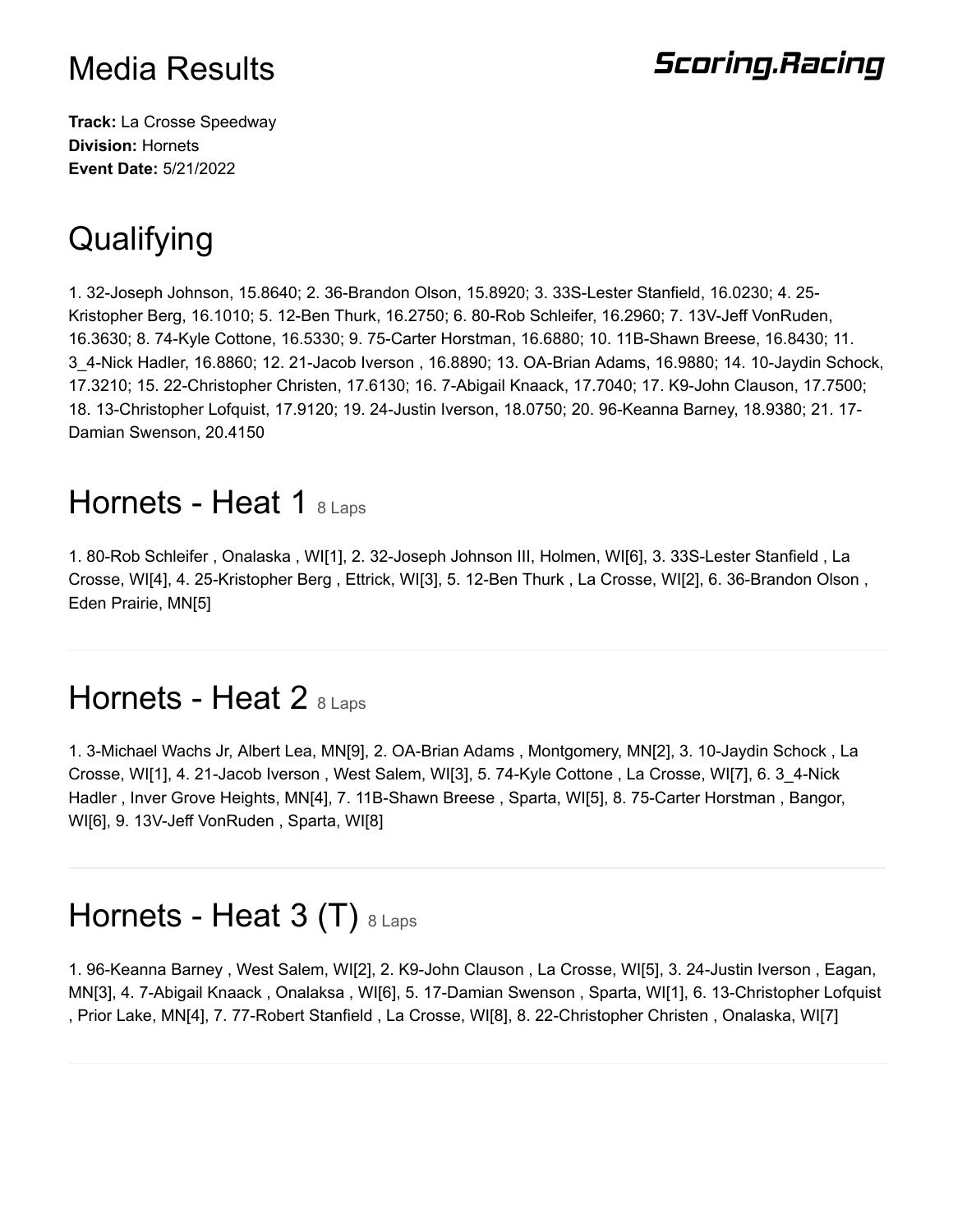## **Scoring.Racing**

**Track:** La Crosse Speedway **Division:** Hornets **Event Date:** 5/21/2022

# **Qualifying**

1. 32-Joseph Johnson, 15.8640; 2. 36-Brandon Olson, 15.8920; 3. 33S-Lester Stanfield, 16.0230; 4. 25- Kristopher Berg, 16.1010; 5. 12-Ben Thurk, 16.2750; 6. 80-Rob Schleifer, 16.2960; 7. 13V-Jeff VonRuden, 16.3630; 8. 74-Kyle Cottone, 16.5330; 9. 75-Carter Horstman, 16.6880; 10. 11B-Shawn Breese, 16.8430; 11. 3\_4-Nick Hadler, 16.8860; 12. 21-Jacob Iverson , 16.8890; 13. OA-Brian Adams, 16.9880; 14. 10-Jaydin Schock, 17.3210; 15. 22-Christopher Christen, 17.6130; 16. 7-Abigail Knaack, 17.7040; 17. K9-John Clauson, 17.7500; 18. 13-Christopher Lofquist, 17.9120; 19. 24-Justin Iverson, 18.0750; 20. 96-Keanna Barney, 18.9380; 21. 17- Damian Swenson, 20.4150

#### Hornets - Heat 1 8 Laps

1. 80-Rob Schleifer , Onalaska , WI[1], 2. 32-Joseph Johnson III, Holmen, WI[6], 3. 33S-Lester Stanfield , La Crosse, WI[4], 4. 25-Kristopher Berg , Ettrick, WI[3], 5. 12-Ben Thurk , La Crosse, WI[2], 6. 36-Brandon Olson , Eden Prairie, MN[5]

### Hornets - Heat 2  $8$  Laps

1. 3-Michael Wachs Jr, Albert Lea, MN[9], 2. OA-Brian Adams , Montgomery, MN[2], 3. 10-Jaydin Schock , La Crosse, WI[1], 4. 21-Jacob Iverson , West Salem, WI[3], 5. 74-Kyle Cottone , La Crosse, WI[7], 6. 3\_4-Nick Hadler , Inver Grove Heights, MN[4], 7. 11B-Shawn Breese , Sparta, WI[5], 8. 75-Carter Horstman , Bangor, WI[6], 9. 13V-Jeff VonRuden , Sparta, WI[8]

## Hornets - Heat 3 (T)  $8$  Laps

1. 96-Keanna Barney , West Salem, WI[2], 2. K9-John Clauson , La Crosse, WI[5], 3. 24-Justin Iverson , Eagan, MN[3], 4. 7-Abigail Knaack , Onalaksa , WI[6], 5. 17-Damian Swenson , Sparta, WI[1], 6. 13-Christopher Lofquist , Prior Lake, MN[4], 7. 77-Robert Stanfield , La Crosse, WI[8], 8. 22-Christopher Christen , Onalaska, WI[7]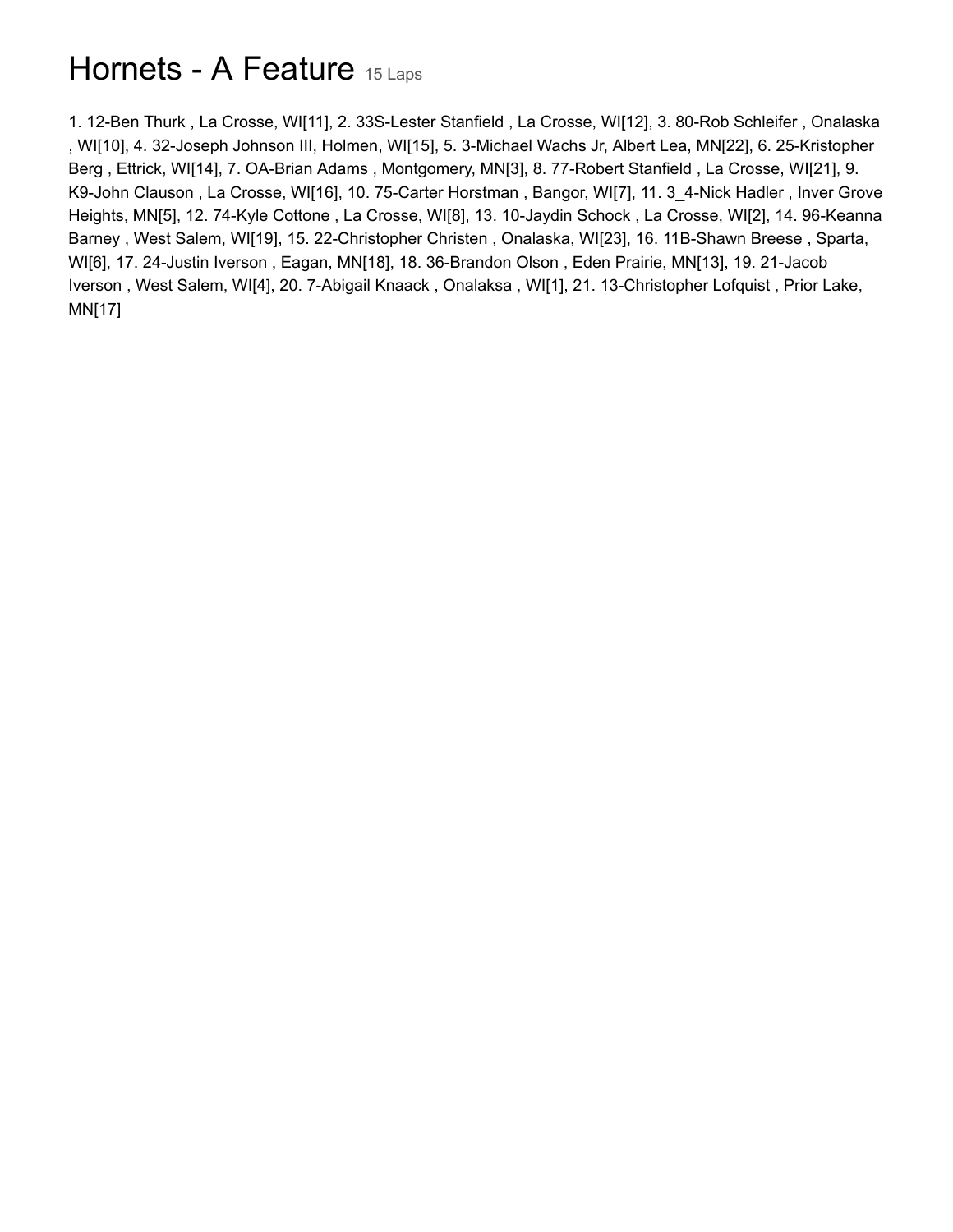## Hornets - A Feature 15 Laps

1. 12-Ben Thurk , La Crosse, WI[11], 2. 33S-Lester Stanfield , La Crosse, WI[12], 3. 80-Rob Schleifer , Onalaska , WI[10], 4. 32-Joseph Johnson III, Holmen, WI[15], 5. 3-Michael Wachs Jr, Albert Lea, MN[22], 6. 25-Kristopher Berg , Ettrick, WI[14], 7. OA-Brian Adams , Montgomery, MN[3], 8. 77-Robert Stanfield , La Crosse, WI[21], 9. K9-John Clauson , La Crosse, WI[16], 10. 75-Carter Horstman , Bangor, WI[7], 11. 3\_4-Nick Hadler , Inver Grove Heights, MN[5], 12. 74-Kyle Cottone , La Crosse, WI[8], 13. 10-Jaydin Schock , La Crosse, WI[2], 14. 96-Keanna Barney , West Salem, WI[19], 15. 22-Christopher Christen , Onalaska, WI[23], 16. 11B-Shawn Breese , Sparta, WI[6], 17. 24-Justin Iverson , Eagan, MN[18], 18. 36-Brandon Olson , Eden Prairie, MN[13], 19. 21-Jacob Iverson , West Salem, WI[4], 20. 7-Abigail Knaack , Onalaksa , WI[1], 21. 13-Christopher Lofquist , Prior Lake, MN[17]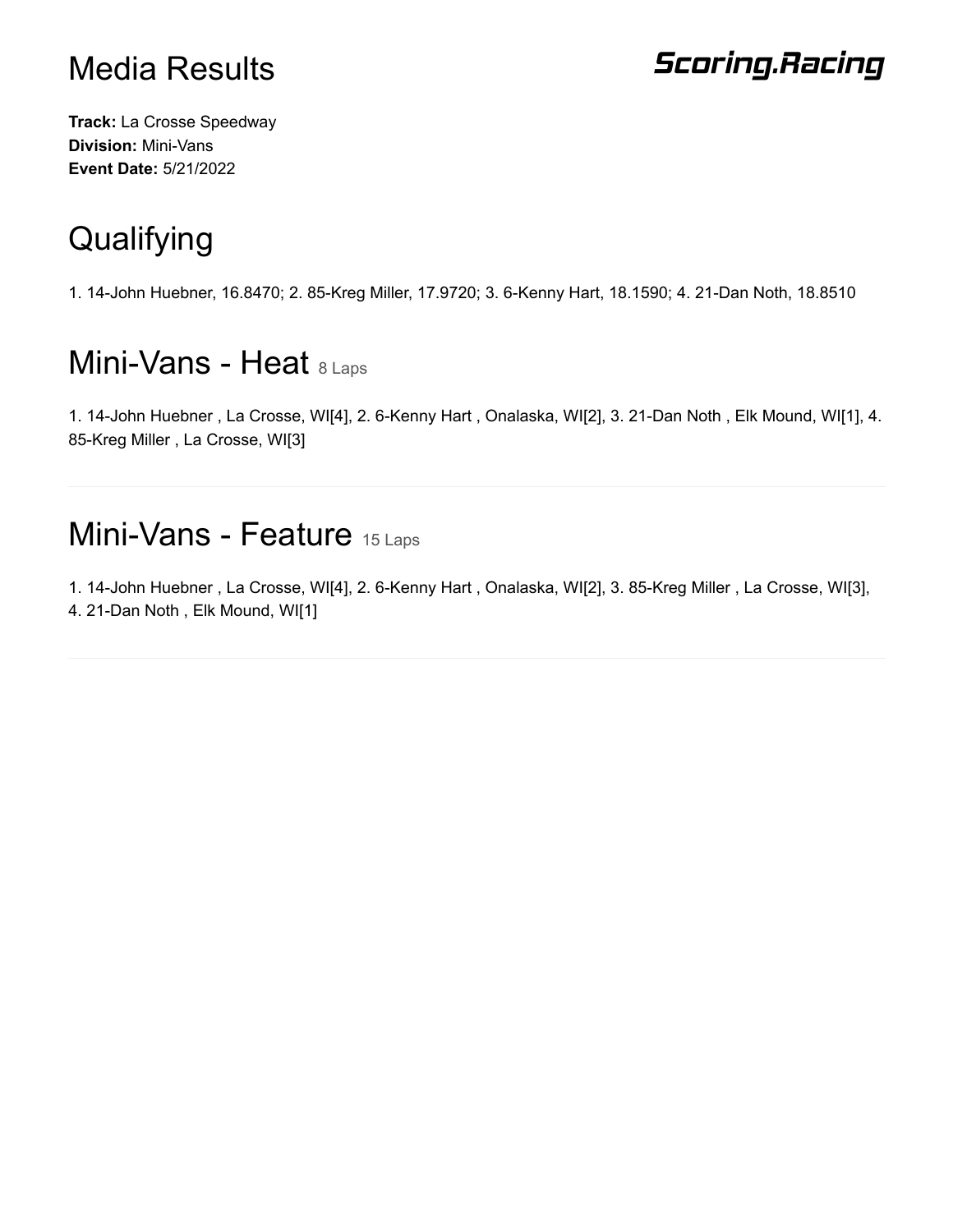### **Scoring.Racing**

**Track:** La Crosse Speedway **Division:** Mini-Vans **Event Date:** 5/21/2022

# **Qualifying**

1. 14-John Huebner, 16.8470; 2. 85-Kreg Miller, 17.9720; 3. 6-Kenny Hart, 18.1590; 4. 21-Dan Noth, 18.8510

## Mini-Vans - Heat 8 Laps

1. 14-John Huebner , La Crosse, WI[4], 2. 6-Kenny Hart , Onalaska, WI[2], 3. 21-Dan Noth , Elk Mound, WI[1], 4. 85-Kreg Miller , La Crosse, WI[3]

## Mini-Vans - Feature 15 Laps

1. 14-John Huebner , La Crosse, WI[4], 2. 6-Kenny Hart , Onalaska, WI[2], 3. 85-Kreg Miller , La Crosse, WI[3], 4. 21-Dan Noth , Elk Mound, WI[1]